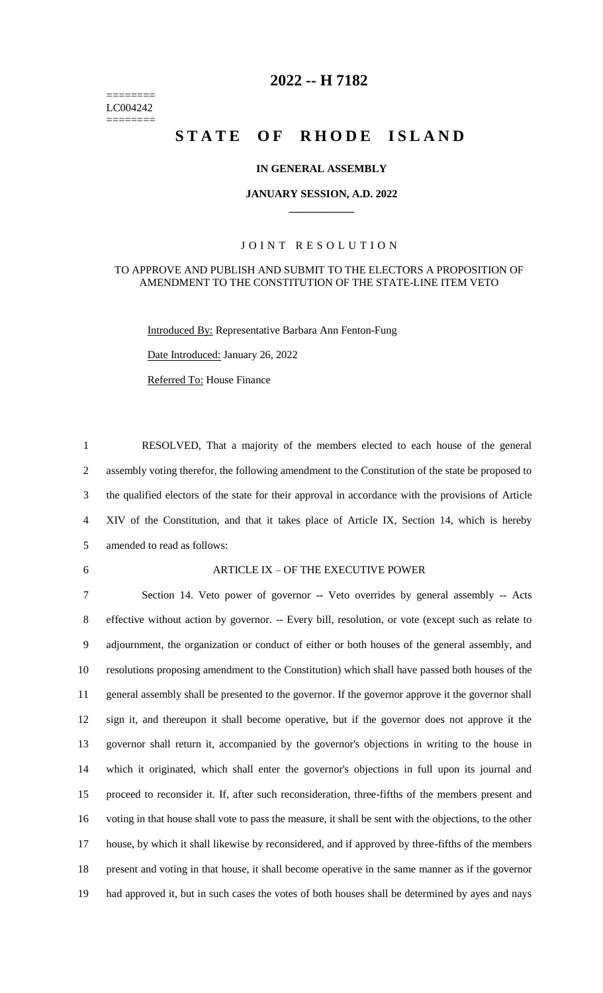======== LC004242 ========

# **-- H 7182**

# **STATE OF RHODE ISLAND**

### **IN GENERAL ASSEMBLY**

### **JANUARY SESSION, A.D. 2022 \_\_\_\_\_\_\_\_\_\_\_\_**

### JOINT RESOLUTION

#### TO APPROVE AND PUBLISH AND SUBMIT TO THE ELECTORS A PROPOSITION OF AMENDMENT TO THE CONSTITUTION OF THE STATE-LINE ITEM VETO

Introduced By: Representative Barbara Ann Fenton-Fung

Date Introduced: January 26, 2022

Referred To: House Finance

 RESOLVED, That a majority of the members elected to each house of the general assembly voting therefor, the following amendment to the Constitution of the state be proposed to the qualified electors of the state for their approval in accordance with the provisions of Article XIV of the Constitution, and that it takes place of Article IX, Section 14, which is hereby amended to read as follows:

#### ARTICLE IX – OF THE EXECUTIVE POWER

 Section 14. Veto power of governor -- Veto overrides by general assembly -- Acts effective without action by governor. -- Every bill, resolution, or vote (except such as relate to adjournment, the organization or conduct of either or both houses of the general assembly, and resolutions proposing amendment to the Constitution) which shall have passed both houses of the general assembly shall be presented to the governor. If the governor approve it the governor shall sign it, and thereupon it shall become operative, but if the governor does not approve it the governor shall return it, accompanied by the governor's objections in writing to the house in which it originated, which shall enter the governor's objections in full upon its journal and proceed to reconsider it. If, after such reconsideration, three-fifths of the members present and voting in that house shall vote to pass the measure, it shall be sent with the objections, to the other house, by which it shall likewise by reconsidered, and if approved by three-fifths of the members present and voting in that house, it shall become operative in the same manner as if the governor had approved it, but in such cases the votes of both houses shall be determined by ayes and nays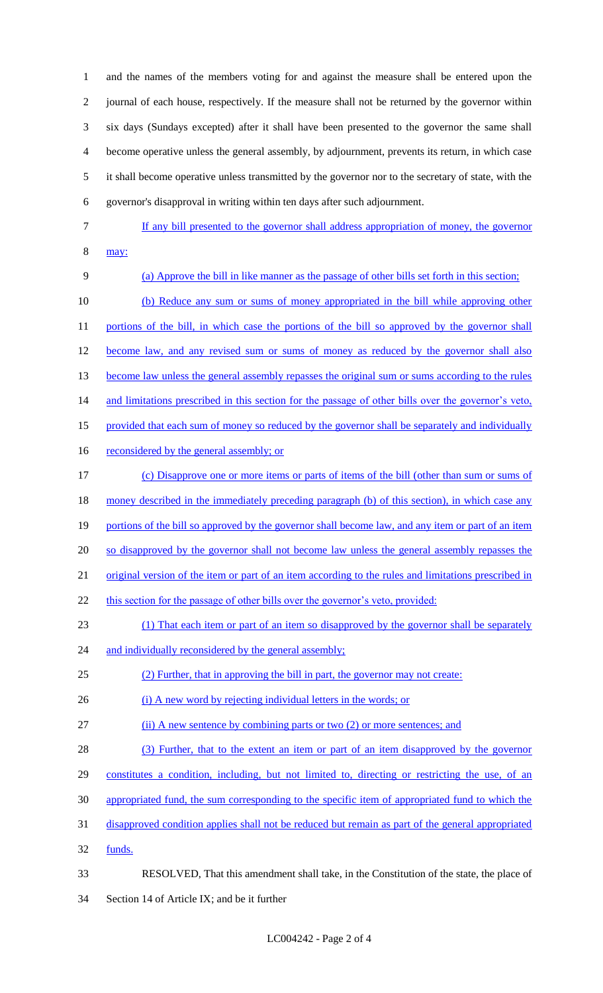and the names of the members voting for and against the measure shall be entered upon the journal of each house, respectively. If the measure shall not be returned by the governor within six days (Sundays excepted) after it shall have been presented to the governor the same shall become operative unless the general assembly, by adjournment, prevents its return, in which case it shall become operative unless transmitted by the governor nor to the secretary of state, with the governor's disapproval in writing within ten days after such adjournment.

- 
- If any bill presented to the governor shall address appropriation of money, the governor may:
- (a) Approve the bill in like manner as the passage of other bills set forth in this section; (b) Reduce any sum or sums of money appropriated in the bill while approving other 11 portions of the bill, in which case the portions of the bill so approved by the governor shall 12 become law, and any revised sum or sums of money as reduced by the governor shall also 13 become law unless the general assembly repasses the original sum or sums according to the rules and limitations prescribed in this section for the passage of other bills over the governor's veto, 15 provided that each sum of money so reduced by the governor shall be separately and individually 16 reconsidered by the general assembly; or (c) Disapprove one or more items or parts of items of the bill (other than sum or sums of money described in the immediately preceding paragraph (b) of this section), in which case any 19 portions of the bill so approved by the governor shall become law, and any item or part of an item 20 so disapproved by the governor shall not become law unless the general assembly repasses the original version of the item or part of an item according to the rules and limitations prescribed in 22 this section for the passage of other bills over the governor's veto, provided:
- (1) That each item or part of an item so disapproved by the governor shall be separately
- 24 and individually reconsidered by the general assembly;
- (2) Further, that in approving the bill in part, the governor may not create:
- 26 (i) A new word by rejecting individual letters in the words; or
- (ii) A new sentence by combining parts or two (2) or more sentences; and
- (3) Further, that to the extent an item or part of an item disapproved by the governor
- constitutes a condition, including, but not limited to, directing or restricting the use, of an
- appropriated fund, the sum corresponding to the specific item of appropriated fund to which the
- disapproved condition applies shall not be reduced but remain as part of the general appropriated
- funds.
- RESOLVED, That this amendment shall take, in the Constitution of the state, the place of Section 14 of Article IX; and be it further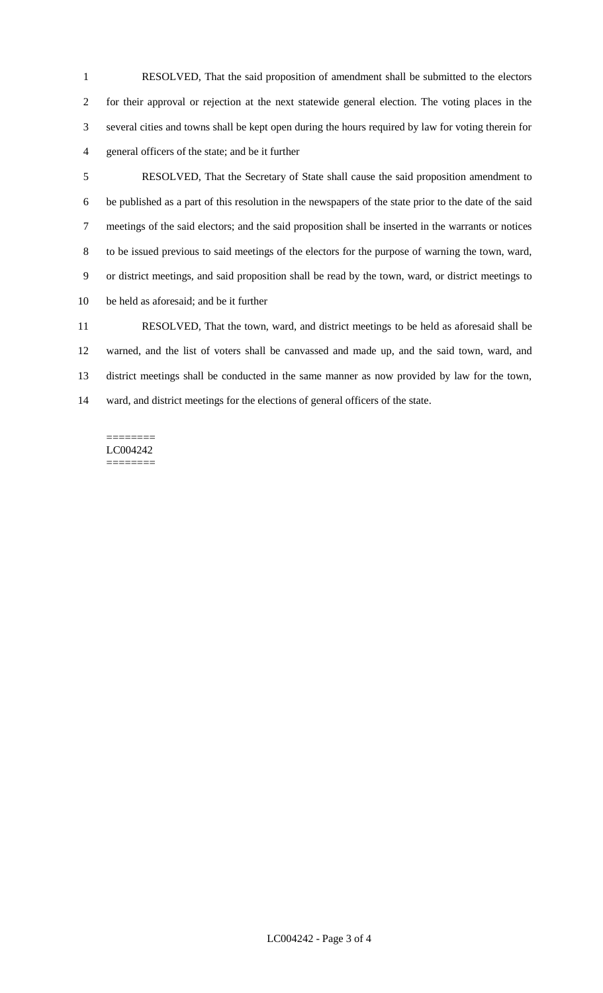RESOLVED, That the said proposition of amendment shall be submitted to the electors for their approval or rejection at the next statewide general election. The voting places in the several cities and towns shall be kept open during the hours required by law for voting therein for general officers of the state; and be it further

 RESOLVED, That the Secretary of State shall cause the said proposition amendment to be published as a part of this resolution in the newspapers of the state prior to the date of the said meetings of the said electors; and the said proposition shall be inserted in the warrants or notices to be issued previous to said meetings of the electors for the purpose of warning the town, ward, or district meetings, and said proposition shall be read by the town, ward, or district meetings to be held as aforesaid; and be it further

 RESOLVED, That the town, ward, and district meetings to be held as aforesaid shall be warned, and the list of voters shall be canvassed and made up, and the said town, ward, and district meetings shall be conducted in the same manner as now provided by law for the town, ward, and district meetings for the elections of general officers of the state.

#### ======== LC004242 ========

LC004242 - Page 3 of 4